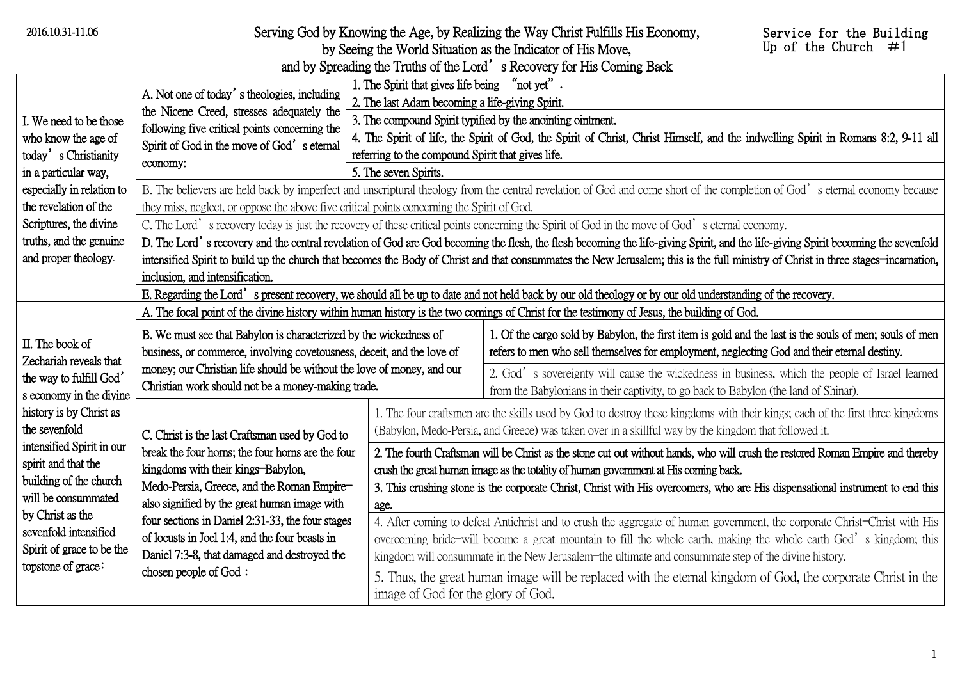| 2016.10.31-11.06                                                                                                                                                                                                                                                                                                                                 |                                                                                                                                                                                                                                                                                                                                                                                                                                                                                                                                                             |                                                                                                                                                                                                                                       | Serving God by Knowing the Age, by Realizing the Way Christ Fulfills His Economy,<br>by Seeing the World Situation as the Indicator of His Move,<br>and by Spreading the Truths of the Lord's Recovery for His Coming Back                                                                                                                             | Service for the Building<br>Up of the Church $\#1$ |  |
|--------------------------------------------------------------------------------------------------------------------------------------------------------------------------------------------------------------------------------------------------------------------------------------------------------------------------------------------------|-------------------------------------------------------------------------------------------------------------------------------------------------------------------------------------------------------------------------------------------------------------------------------------------------------------------------------------------------------------------------------------------------------------------------------------------------------------------------------------------------------------------------------------------------------------|---------------------------------------------------------------------------------------------------------------------------------------------------------------------------------------------------------------------------------------|--------------------------------------------------------------------------------------------------------------------------------------------------------------------------------------------------------------------------------------------------------------------------------------------------------------------------------------------------------|----------------------------------------------------|--|
| I. We need to be those<br>who know the age of<br>today's Christianity<br>in a particular way,<br>especially in relation to<br>the revelation of the                                                                                                                                                                                              | A. Not one of today's theologies, including<br>the Nicene Creed, stresses adequately the<br>following five critical points concerning the<br>Spirit of God in the move of God's eternal<br>economy:                                                                                                                                                                                                                                                                                                                                                         | 1. The Spirit that gives life being "not yet".<br>2. The last Adam becoming a life-giving Spirit.                                                                                                                                     | 3. The compound Spirit typified by the anointing ointment.                                                                                                                                                                                                                                                                                             |                                                    |  |
|                                                                                                                                                                                                                                                                                                                                                  |                                                                                                                                                                                                                                                                                                                                                                                                                                                                                                                                                             | 4. The Spirit of life, the Spirit of God, the Spirit of Christ, Christ Himself, and the indwelling Spirit in Romans 8:2, 9-11 all<br>referring to the compound Spirit that gives life.<br>5. The seven Spirits.                       |                                                                                                                                                                                                                                                                                                                                                        |                                                    |  |
|                                                                                                                                                                                                                                                                                                                                                  | B. The believers are held back by imperfect and unscriptural theology from the central revelation of God and come short of the completion of God's eternal economy because<br>they miss, neglect, or oppose the above five critical points concerning the Spirit of God.                                                                                                                                                                                                                                                                                    |                                                                                                                                                                                                                                       |                                                                                                                                                                                                                                                                                                                                                        |                                                    |  |
| Scriptures, the divine<br>truths, and the genuine<br>and proper theology.                                                                                                                                                                                                                                                                        | C. The Lord's recovery today is just the recovery of these critical points concerning the Spirit of God in the move of God's eternal economy.<br>D. The Lord's recovery and the central revelation of God are God becoming the flesh, the flesh becoming the life-giving Spirit, and the life-giving Spirit becoming the sevenfold<br>intensified Spirit to build up the church that becomes the Body of Christ and that consummates the New Jerusalem; this is the full ministry of Christ in three stages-incarnation,<br>inclusion, and intensification. |                                                                                                                                                                                                                                       |                                                                                                                                                                                                                                                                                                                                                        |                                                    |  |
|                                                                                                                                                                                                                                                                                                                                                  | E. Regarding the Lord's present recovery, we should all be up to date and not held back by our old theology or by our old understanding of the recovery.                                                                                                                                                                                                                                                                                                                                                                                                    |                                                                                                                                                                                                                                       |                                                                                                                                                                                                                                                                                                                                                        |                                                    |  |
| A. The focal point of the divine history within human history is the two comings of Christ for the testimony of Jesus, the building of God.                                                                                                                                                                                                      |                                                                                                                                                                                                                                                                                                                                                                                                                                                                                                                                                             |                                                                                                                                                                                                                                       |                                                                                                                                                                                                                                                                                                                                                        |                                                    |  |
| II. The book of<br>Zechariah reveals that<br>the way to fulfill God'<br>s economy in the divine<br>history is by Christ as<br>the sevenfold<br>intensified Spirit in our<br>spirit and that the<br>building of the church<br>will be consummated<br>by Christ as the<br>sevenfold intensified<br>Spirit of grace to be the<br>topstone of grace: | B. We must see that Babylon is characterized by the wickedness of<br>business, or commerce, involving covetousness, deceit, and the love of<br>money; our Christian life should be without the love of money, and our<br>Christian work should not be a money-making trade.                                                                                                                                                                                                                                                                                 |                                                                                                                                                                                                                                       | 1. Of the cargo sold by Babylon, the first item is gold and the last is the souls of men; souls of men<br>refers to men who sell themselves for employment, neglecting God and their eternal destiny.                                                                                                                                                  |                                                    |  |
|                                                                                                                                                                                                                                                                                                                                                  |                                                                                                                                                                                                                                                                                                                                                                                                                                                                                                                                                             |                                                                                                                                                                                                                                       | 2. God's sovereignty will cause the wickedness in business, which the people of Israel learned<br>from the Babylonians in their captivity, to go back to Babylon (the land of Shinar).                                                                                                                                                                 |                                                    |  |
|                                                                                                                                                                                                                                                                                                                                                  | C. Christ is the last Craftsman used by God to<br>break the four horns; the four horns are the four<br>kingdoms with their kings-Babylon,<br>Medo-Persia, Greece, and the Roman Empire-<br>also signified by the great human image with                                                                                                                                                                                                                                                                                                                     | 1. The four craftsmen are the skills used by God to destroy these kingdoms with their kings; each of the first three kingdoms<br>(Babylon, Medo-Persia, and Greece) was taken over in a skillful way by the kingdom that followed it. |                                                                                                                                                                                                                                                                                                                                                        |                                                    |  |
|                                                                                                                                                                                                                                                                                                                                                  |                                                                                                                                                                                                                                                                                                                                                                                                                                                                                                                                                             |                                                                                                                                                                                                                                       | 2. The fourth Craftsman will be Christ as the stone cut out without hands, who will crush the restored Roman Empire and thereby<br>crush the great human image as the totality of human government at His coming back.                                                                                                                                 |                                                    |  |
|                                                                                                                                                                                                                                                                                                                                                  |                                                                                                                                                                                                                                                                                                                                                                                                                                                                                                                                                             | age.                                                                                                                                                                                                                                  | 3. This crushing stone is the corporate Christ, Christ with His overcomers, who are His dispensational instrument to end this                                                                                                                                                                                                                          |                                                    |  |
|                                                                                                                                                                                                                                                                                                                                                  | four sections in Daniel 2:31-33, the four stages<br>of locusts in Joel 1:4, and the four beasts in<br>Daniel 7:3-8, that damaged and destroyed the                                                                                                                                                                                                                                                                                                                                                                                                          |                                                                                                                                                                                                                                       | 4. After coming to defeat Antichrist and to crush the aggregate of human government, the corporate Christ-Christ with His<br>overcoming bride-will become a great mountain to fill the whole earth, making the whole earth God's kingdom; this<br>kingdom will consummate in the New Jerusalem-the ultimate and consummate step of the divine history. |                                                    |  |
|                                                                                                                                                                                                                                                                                                                                                  | chosen people of God:                                                                                                                                                                                                                                                                                                                                                                                                                                                                                                                                       | 5. Thus, the great human image will be replaced with the eternal kingdom of God, the corporate Christ in the<br>image of God for the glory of God.                                                                                    |                                                                                                                                                                                                                                                                                                                                                        |                                                    |  |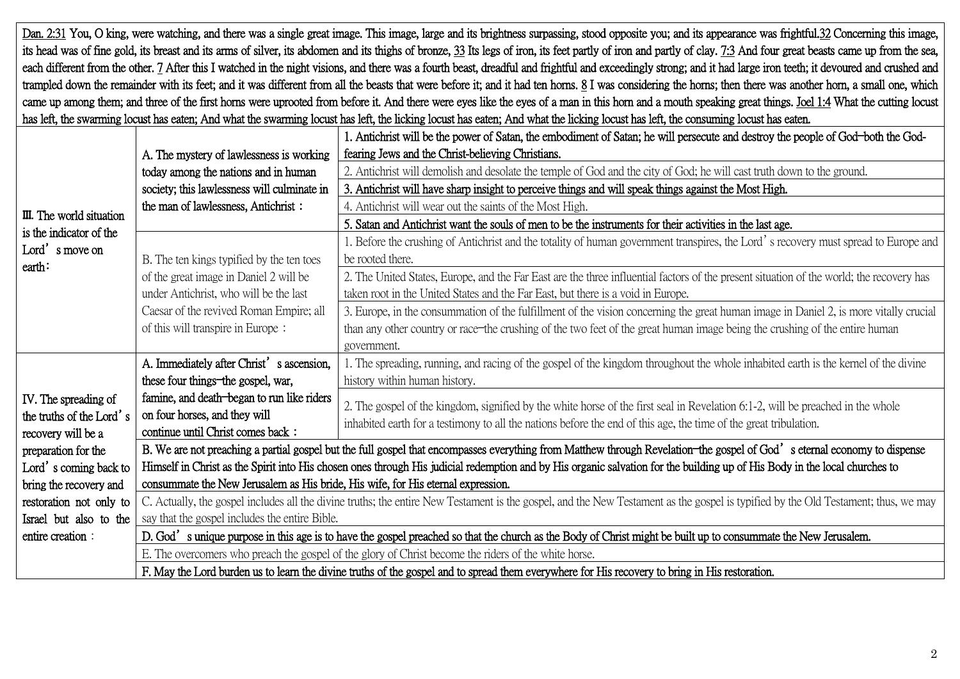Dan. 2:31 You, O king, were watching, and there was a single great image. This image, large and its brightness surpassing, stood opposite you; and its appearance was frightful.32 Concerning this image, its head was of fine gold, its breast and its arms of silver, its abdomen and its thighs of bronze, 33 Its legs of iron, its feet partly of iron and partly of clay. 7:3 And four great beasts came up from the sea, each different from the other. 7 After this I watched in the night visions, and there was a fourth beast, dreadful and frightful and exceedingly strong; and it had large iron teeth; it devoured and crushed and trampled down the remainder with its feet; and it was different from all the beasts that were before it; and it had ten horns. 8 I was considering the horns; then there was another horn, a small one, which came up among them; and three of the first horns were uprooted from before it. And there were eyes like the eyes of a man in this horn and a mouth speaking great things. Joel 1:4 What the cutting locust has left, the swarming locust has eaten; And what the swarming locust has left, the licking locust has eaten; And what the licking locust has left, the consuming locust has eaten.

|                                                                                 |                                                                                                                                                                                    | 1. Antichrist will be the power of Satan, the embodiment of Satan; he will persecute and destroy the people of God-both the God-         |  |  |
|---------------------------------------------------------------------------------|------------------------------------------------------------------------------------------------------------------------------------------------------------------------------------|------------------------------------------------------------------------------------------------------------------------------------------|--|--|
|                                                                                 | A. The mystery of lawlessness is working                                                                                                                                           | fearing Jews and the Christ-believing Christians.                                                                                        |  |  |
|                                                                                 | today among the nations and in human                                                                                                                                               | 2. Antichrist will demolish and desolate the temple of God and the city of God; he will cast truth down to the ground.                   |  |  |
|                                                                                 | society; this lawlessness will culminate in                                                                                                                                        | 3. Antichrist will have sharp insight to perceive things and will speak things against the Most High.                                    |  |  |
| III. The world situation<br>is the indicator of the<br>Lord's move on<br>earth: | the man of lawlessness, Antichrist:                                                                                                                                                | 4. Antichrist will wear out the saints of the Most High.                                                                                 |  |  |
|                                                                                 |                                                                                                                                                                                    | 5. Satan and Antichrist want the souls of men to be the instruments for their activities in the last age.                                |  |  |
|                                                                                 | B. The ten kings typified by the ten toes<br>of the great image in Daniel 2 will be                                                                                                | 1. Before the crushing of Antichrist and the totality of human government transpires, the Lord's recovery must spread to Europe and      |  |  |
|                                                                                 |                                                                                                                                                                                    | be rooted there.                                                                                                                         |  |  |
|                                                                                 |                                                                                                                                                                                    | 2. The United States, Europe, and the Far East are the three influential factors of the present situation of the world; the recovery has |  |  |
|                                                                                 | under Antichrist, who will be the last                                                                                                                                             | taken root in the United States and the Far East, but there is a void in Europe.                                                         |  |  |
|                                                                                 | Caesar of the revived Roman Empire; all                                                                                                                                            | 3. Europe, in the consummation of the fulfillment of the vision concerning the great human image in Daniel 2, is more vitally crucial    |  |  |
|                                                                                 | of this will transpire in Europe:                                                                                                                                                  | than any other country or race-the crushing of the two feet of the great human image being the crushing of the entire human              |  |  |
|                                                                                 |                                                                                                                                                                                    | government.                                                                                                                              |  |  |
|                                                                                 | A. Immediately after Christ's ascension,                                                                                                                                           | 1. The spreading, running, and racing of the gospel of the kingdom throughout the whole inhabited earth is the kernel of the divine      |  |  |
|                                                                                 | these four things-the gospel, war,                                                                                                                                                 | history within human history.                                                                                                            |  |  |
| IV. The spreading of                                                            | famine, and death-began to run like riders                                                                                                                                         | 2. The gospel of the kingdom, signified by the white horse of the first seal in Revelation 6:1-2, will be preached in the whole          |  |  |
| the truths of the Lord's                                                        | on four horses, and they will                                                                                                                                                      |                                                                                                                                          |  |  |
| recovery will be a                                                              | continue until Christ comes back:                                                                                                                                                  | inhabited earth for a testimony to all the nations before the end of this age, the time of the great tribulation.                        |  |  |
| preparation for the                                                             | B. We are not preaching a partial gospel but the full gospel that encompasses everything from Matthew through Revelation-the gospel of God's eternal economy to dispense           |                                                                                                                                          |  |  |
| Lord's coming back to                                                           | Himself in Christ as the Spirit into His chosen ones through His judicial redemption and by His organic salvation for the building up of His Body in the local churches to         |                                                                                                                                          |  |  |
| bring the recovery and                                                          | consummate the New Jerusalem as His bride, His wife, for His eternal expression.                                                                                                   |                                                                                                                                          |  |  |
| restoration not only to                                                         | C. Actually, the gospel includes all the divine truths; the entire New Testament is the gospel, and the New Testament as the gospel is typified by the Old Testament; thus, we may |                                                                                                                                          |  |  |
| Israel but also to the                                                          | say that the gospel includes the entire Bible.                                                                                                                                     |                                                                                                                                          |  |  |
| entire creation:                                                                | D. God's unique purpose in this age is to have the gospel preached so that the church as the Body of Christ might be built up to consummate the New Jerusalem.                     |                                                                                                                                          |  |  |
|                                                                                 | E. The overcomers who preach the gospel of the glory of Christ become the riders of the white horse.                                                                               |                                                                                                                                          |  |  |
|                                                                                 |                                                                                                                                                                                    |                                                                                                                                          |  |  |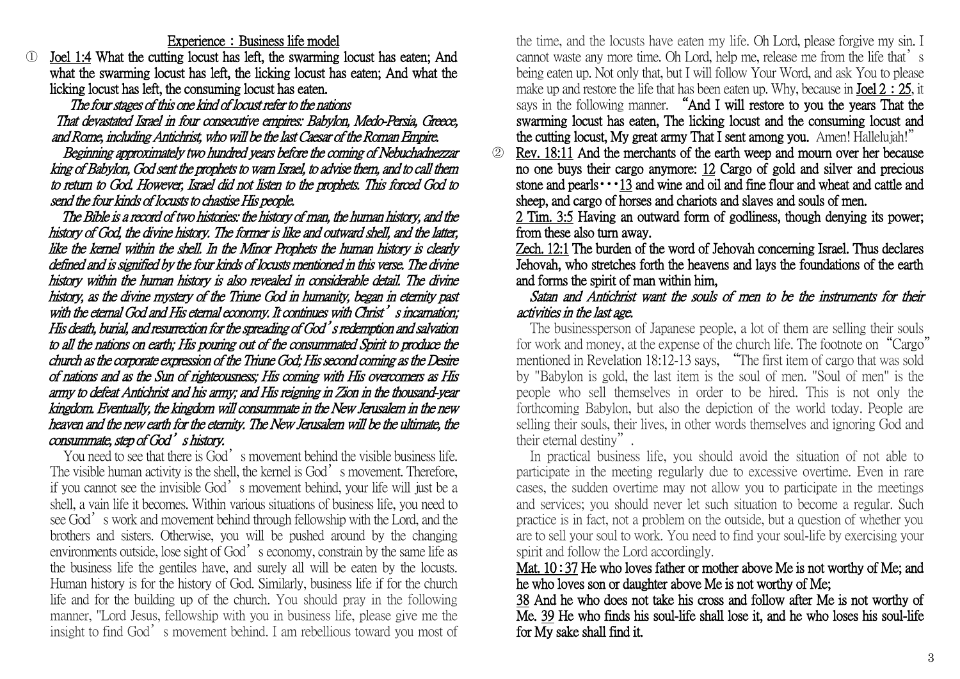Experience: Business life model

Joel 1:4 What the cutting locust has left, the swarming locust has eaten; And what the swarming locust has left, the licking locust has eaten; And what the licking locust has left, the consuming locust has eaten.

The four stages of this one kind of locust refer to the nations That devastated Israel in four consecutive empires: Babylon, Medo-Persia, Greece, and Rome, including Antichrist, who will be the last Caesar of the Roman Empire.

Beginning approximately two hundred years before the coming of Nebuchadnezzar king of Babylon, God sent the prophets to warn Israel, to advise them, and to call them to return to God. However, Israel did not listen to the prophets. This forced God to send the four kinds of locusts to chastise His people.

The Bible is a record of two histories: the history of man, the human history, and the history of God, the divine history. The former is like and outward shell, and the latter, like the kernel within the shell. In the Minor Prophets the human history is clearly defined and is signified by the four kinds of locusts mentioned in this verse. The divine history within the human history is also revealed in considerable detail. The divine history, as the divine mystery of the Triune God in humanity, began in eternity past with the eternal God and His eternal economy. It continues with Christ's incarnation: His death, burial, and resurrection for the spreading of God's redemption and salvation to all the nations on earth; His pouring out of the consummated Spirit to produce the church as the corporate expression of the Triune God; His second coming as the Desire of nations and as the Sun of righteousness; His coming with His overcomers as His army to defeat Antichrist and his army; and His reigning in Zion in the thousand-year kingdom. Eventually, the kingdom will consummate in the New Jerusalem in the new heaven and the new earth for the eternity. The New Jerusalem will be the ultimate, the consummate, step of God's history.

You need to see that there is God's movement behind the visible business life. The visible human activity is the shell, the kernel is God's movement. Therefore, if you cannot see the invisible God's movement behind, your life will just be a shell, a vain life it becomes. Within various situations of business life, you need to see God's work and movement behind through fellowship with the Lord, and the brothers and sisters. Otherwise, you will be pushed around by the changing environments outside, lose sight of God's economy, constrain by the same life as the business life the gentiles have, and surely all will be eaten by the locusts. Human history is for the history of God. Similarly, business life if for the church life and for the building up of the church. You should pray in the following manner, "Lord Jesus, fellowship with you in business life, please give me the insight to find God's movement behind. I am rebellious toward you most of the time, and the locusts have eaten my life. Oh Lord, please forgive my sin. I cannot waste any more time. Oh Lord, help me, release me from the life that's being eaten up. Not only that, but I will follow Your Word, and ask You to please make up and restore the life that has been eaten up. Why, because in **Joel 2:25**, it says in the following manner. "And I will restore to you the years That the swarming locust has eaten, The licking locust and the consuming locust and the cutting locust, My great army That I sent among you. Amen! Hallelujah!"

② Rev. 18:11 And the merchants of the earth weep and mourn over her because no one buys their cargo anymore: 12 Cargo of gold and silver and precious stone and pearls・・・13 and wine and oil and fine flour and wheat and cattle and sheep, and cargo of horses and chariots and slaves and souls of men.

2 Tim. 3:5 Having an outward form of godliness, though denying its power; from these also turn away.

Zech. 12:1 The burden of the word of Jehovah concerning Israel. Thus declares Jehovah, who stretches forth the heavens and lays the foundations of the earth and forms the spirit of man within him,

Satan and Antichrist want the souls of men to be the instruments for their activities in the last age.

The businessperson of Japanese people, a lot of them are selling their souls for work and money, at the expense of the church life. The footnote on "Cargo" mentioned in Revelation 18:12-13 says, "The first item of cargo that was sold by "Babylon is gold, the last item is the soul of men. "Soul of men" is the people who sell themselves in order to be hired. This is not only the forthcoming Babylon, but also the depiction of the world today. People are selling their souls, their lives, in other words themselves and ignoring God and their eternal destiny".

In practical business life, you should avoid the situation of not able to participate in the meeting regularly due to excessive overtime. Even in rare cases, the sudden overtime may not allow you to participate in the meetings and services; you should never let such situation to become a regular. Such practice is in fact, not a problem on the outside, but a question of whether you are to sell your soul to work. You need to find your soul-life by exercising your spirit and follow the Lord accordingly.

## Mat. 10:37 He who loves father or mother above Me is not worthy of Me; and he who loves son or daughter above Me is not worthy of Me;

38 And he who does not take his cross and follow after Me is not worthy of Me. 39 He who finds his soul-life shall lose it, and he who loses his soul-life for My sake shall find it.